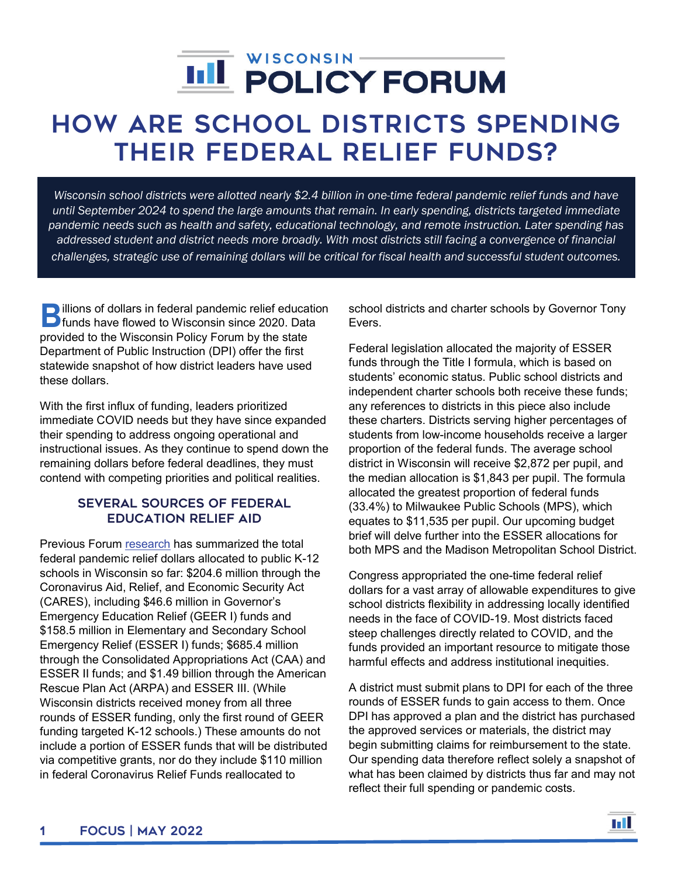# j

## How Are School Districts Spending Their Federal Relief Funds?

*Wisconsin school districts were allotted nearly \$2.4 billion in one-time federal pandemic relief funds and have until September 2024 to spend the large amounts that remain. In early spending, districts targeted immediate pandemic needs such as health and safety, educational technology, and remote instruction. Later spending has*  addressed student and district needs more broadly. With most districts still facing a convergence of financial *challenges, strategic use of remaining dollars will be critical for fiscal health and successful student outcomes.* 

illions of dollars in federal pandemic relief education **B**illions of dollars in federal pandemic relief education<br>funds have flowed to Wisconsin since 2020. Data provided to the Wisconsin Policy Forum by the state Department of Public Instruction (DPI) offer the first statewide snapshot of how district leaders have used these dollars.

With the first influx of funding, leaders prioritized immediate COVID needs but they have since expanded their spending to address ongoing operational and instructional issues. As they continue to spend down the remaining dollars before federal deadlines, they must contend with competing priorities and political realities.

#### Several Sources of Federal Education Relief Aid

Previous Forum [research](https://wispolicyforum.org/research/unprecedented-aid-federal-relief-to-state-and-locals-shatters-previous-levels/) has summarized the total federal pandemic relief dollars allocated to public K-12 schools in Wisconsin so far: \$204.6 million through the Coronavirus Aid, Relief, and Economic Security Act (CARES), including \$46.6 million in Governor's Emergency Education Relief (GEER I) funds and \$158.5 million in Elementary and Secondary School Emergency Relief (ESSER I) funds; \$685.4 million through the Consolidated Appropriations Act (CAA) and ESSER II funds; and \$1.49 billion through the American Rescue Plan Act (ARPA) and ESSER III. (While Wisconsin districts received money from all three rounds of ESSER funding, only the first round of GEER funding targeted K-12 schools.) These amounts do not include a portion of ESSER funds that will be distributed via competitive grants, nor do they include \$110 million in federal Coronavirus Relief Funds reallocated to

school districts and charter schools by Governor Tony Evers.

Federal legislation allocated the majority of ESSER funds through the Title I formula, which is based on students' economic status. Public school districts and independent charter schools both receive these funds; any references to districts in this piece also include these charters. Districts serving higher percentages of students from low-income households receive a larger proportion of the federal funds. The average school district in Wisconsin will receive \$2,872 per pupil, and the median allocation is \$1,843 per pupil. The formula allocated the greatest proportion of federal funds (33.4%) to Milwaukee Public Schools (MPS), which equates to \$11,535 per pupil. Our upcoming budget brief will delve further into the ESSER allocations for both MPS and the Madison Metropolitan School District.

Congress appropriated the one-time federal relief dollars for a vast array of allowable expenditures to give school districts flexibility in addressing locally identified needs in the face of COVID-19. Most districts faced steep challenges directly related to COVID, and the funds provided an important resource to mitigate those harmful effects and address institutional inequities.

A district must submit plans to DPI for each of the three rounds of ESSER funds to gain access to them. Once DPI has approved a plan and the district has purchased the approved services or materials, the district may begin submitting claims for reimbursement to the state. Our spending data therefore reflect solely a snapshot of what has been claimed by districts thus far and may not reflect their full spending or pandemic costs.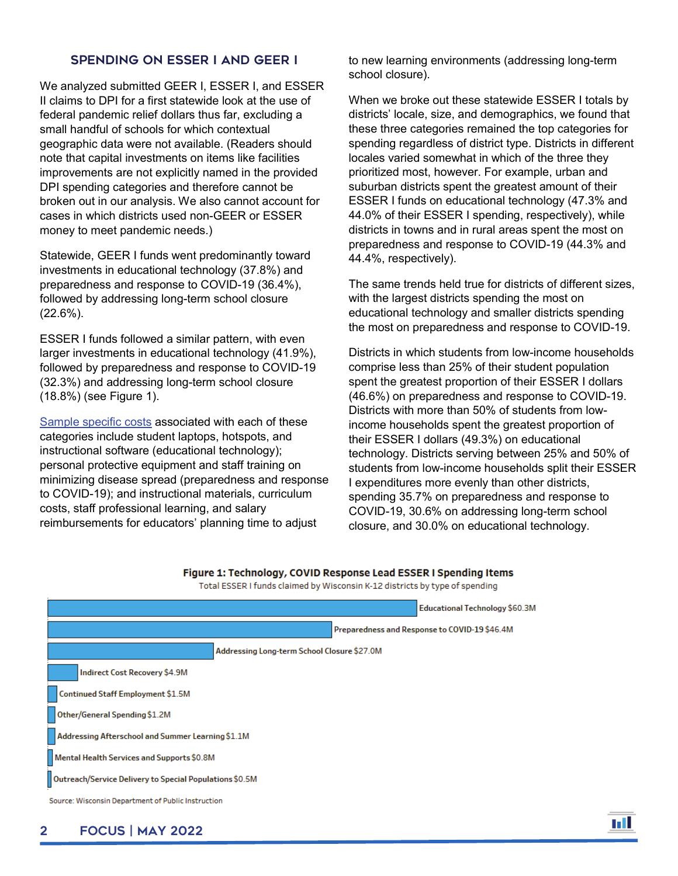#### Spending on ESSER I and GEER I

We analyzed submitted GEER I, ESSER I, and ESSER II claims to DPI for a first statewide look at the use of federal pandemic relief dollars thus far, excluding a small handful of schools for which contextual geographic data were not available. (Readers should note that capital investments on items like facilities improvements are not explicitly named in the provided DPI spending categories and therefore cannot be broken out in our analysis. We also cannot account for cases in which districts used non-GEER or ESSER money to meet pandemic needs.)

Statewide, GEER I funds went predominantly toward investments in educational technology (37.8%) and preparedness and response to COVID-19 (36.4%), followed by addressing long-term school closure (22.6%).

ESSER I funds followed a similar pattern, with even larger investments in educational technology (41.9%), followed by preparedness and response to COVID-19 (32.3%) and addressing long-term school closure (18.8%) (see Figure 1).

[Sample specific costs](https://docs.google.com/document/d/1K78BQsDluMQ0aDTzd0Qb1gQKmLXVhfRYkBzXm6S3bCY/edit) associated with each of these categories include student laptops, hotspots, and instructional software (educational technology); personal protective equipment and staff training on minimizing disease spread (preparedness and response to COVID-19); and instructional materials, curriculum costs, staff professional learning, and salary reimbursements for educators' planning time to adjust

to new learning environments (addressing long-term school closure).

When we broke out these statewide ESSER I totals by districts' locale, size, and demographics, we found that these three categories remained the top categories for spending regardless of district type. Districts in different locales varied somewhat in which of the three they prioritized most, however. For example, urban and suburban districts spent the greatest amount of their ESSER I funds on educational technology (47.3% and 44.0% of their ESSER I spending, respectively), while districts in towns and in rural areas spent the most on preparedness and response to COVID-19 (44.3% and 44.4%, respectively).

The same trends held true for districts of different sizes, with the largest districts spending the most on educational technology and smaller districts spending the most on preparedness and response to COVID-19.

Districts in which students from low-income households comprise less than 25% of their student population spent the greatest proportion of their ESSER I dollars (46.6%) on preparedness and response to COVID-19. Districts with more than 50% of students from lowincome households spent the greatest proportion of their ESSER I dollars (49.3%) on educational technology. Districts serving between 25% and 50% of students from low-income households split their ESSER I expenditures more evenly than other districts, spending 35.7% on preparedness and response to COVID-19, 30.6% on addressing long-term school closure, and 30.0% on educational technology.



#### Figure 1: Technology, COVID Response Lead ESSER I Spending Items Total ESSER I funds claimed by Wisconsin K-12 districts by type of spending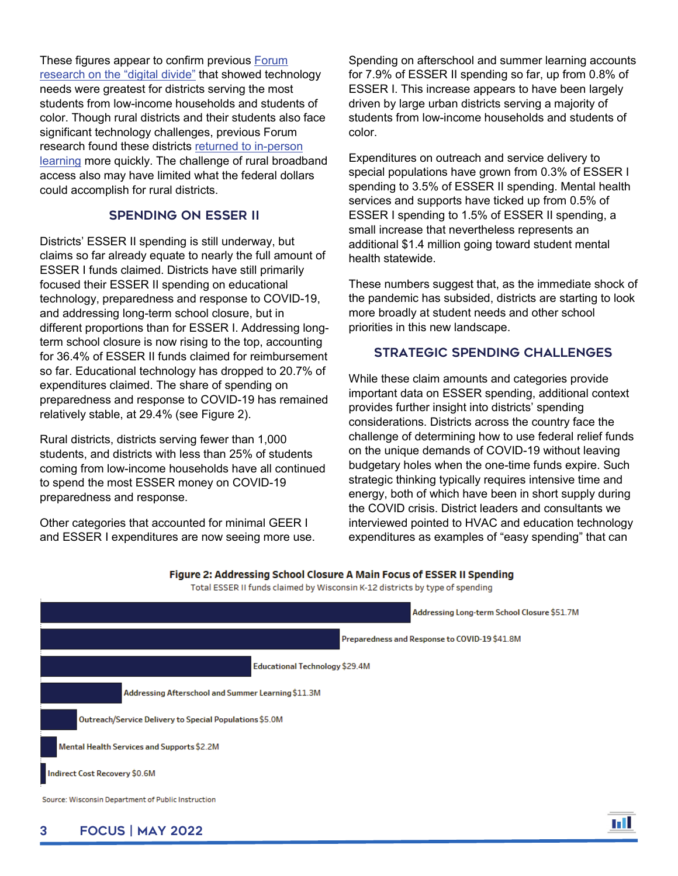These figures appear to confirm previous [Forum](https://wispolicyforum.org/research/wisconsins-digital-divide-and-its-impacts-on-learning/)  [research on the "digital divide"](https://wispolicyforum.org/research/wisconsins-digital-divide-and-its-impacts-on-learning/) that showed technology needs were greatest for districts serving the most students from low-income households and students of color. Though rural districts and their students also face significant technology challenges, previous Forum research found these districts returned [to in-person](https://wispolicyforum.org/research/where-learning-went-virtual/)  [learning](https://wispolicyforum.org/research/where-learning-went-virtual/) more quickly. The challenge of rural broadband access also may have limited what the federal dollars could accomplish for rural districts.

#### Spending on ESSER II

Districts' ESSER II spending is still underway, but claims so far already equate to nearly the full amount of ESSER I funds claimed. Districts have still primarily focused their ESSER II spending on educational technology, preparedness and response to COVID-19, and addressing long-term school closure, but in different proportions than for ESSER I. Addressing longterm school closure is now rising to the top, accounting for 36.4% of ESSER II funds claimed for reimbursement so far. Educational technology has dropped to 20.7% of expenditures claimed. The share of spending on preparedness and response to COVID-19 has remained relatively stable, at 29.4% (see Figure 2).

Rural districts, districts serving fewer than 1,000 students, and districts with less than 25% of students coming from low-income households have all continued to spend the most ESSER money on COVID-19 preparedness and response.

Other categories that accounted for minimal GEER I and ESSER I expenditures are now seeing more use. Spending on afterschool and summer learning accounts for 7.9% of ESSER II spending so far, up from 0.8% of ESSER I. This increase appears to have been largely driven by large urban districts serving a majority of students from low-income households and students of color.

Expenditures on outreach and service delivery to special populations have grown from 0.3% of ESSER I spending to 3.5% of ESSER II spending. Mental health services and supports have ticked up from 0.5% of ESSER I spending to 1.5% of ESSER II spending, a small increase that nevertheless represents an additional \$1.4 million going toward student mental health statewide.

These numbers suggest that, as the immediate shock of the pandemic has subsided, districts are starting to look more broadly at student needs and other school priorities in this new landscape.

#### Strategic Spending Challenges

While these claim amounts and categories provide important data on ESSER spending, additional context provides further insight into districts' spending considerations. Districts across the country face the challenge of determining how to use federal relief funds on the unique demands of COVID-19 without leaving budgetary holes when the one-time funds expire. Such strategic thinking typically requires intensive time and energy, both of which have been in short supply during the COVID crisis. District leaders and consultants we interviewed pointed to HVAC and education technology expenditures as examples of "easy spending" that can

| Total ESSER II funds claimed by Wisconsin K-12 districts by type of spending |
|------------------------------------------------------------------------------|
| Addressing Long-term School Closure \$51.7M                                  |
| Preparedness and Response to COVID-19 \$41.8M                                |
| <b>Educational Technology \$29.4M</b>                                        |
| Addressing Afterschool and Summer Learning \$11.3M                           |
| Outreach/Service Delivery to Special Populations \$5.0M                      |
| Mental Health Services and Supports \$2.2M                                   |
| Indirect Cost Recovery \$0.6M                                                |
| Source: Wisconsin Department of Public Instruction                           |

### Figure 2: Addressing School Closure A Main Focus of ESSER II Spending